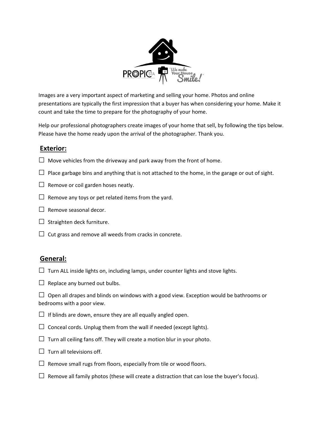

Images are a very important aspect of marketing and selling your home. Photos and online presentations are typically the first impression that a buyer has when considering your home. Make it count and take the time to prepare for the photography of your home.

Help our professional photographers create images of your home that sell, by following the tips below. Please have the home ready upon the arrival of the photographer. Thank you.

# **Exterior:**

- $\Box$  Move vehicles from the driveway and park away from the front of home.
- $\Box$  Place garbage bins and anything that is not attached to the home, in the garage or out of sight.
- $\Box$  Remove or coil garden hoses neatly.
- $\Box$  Remove any toys or pet related items from the yard.
- $\Box$  Remove seasonal decor.
- $\Box$  Straighten deck furniture.
- $\Box$  Cut grass and remove all weeds from cracks in concrete.

## **General:**

- $\Box$  Turn ALL inside lights on, including lamps, under counter lights and stove lights.
- $\Box$  Replace any burned out bulbs.

 $\Box$  Open all drapes and blinds on windows with a good view. Exception would be bathrooms or bedrooms with a poor view.

- $\Box$  If blinds are down, ensure they are all equally angled open.
- $\Box$  Conceal cords. Unplug them from the wall if needed (except lights).
- $\Box$  Turn all ceiling fans off. They will create a motion blur in your photo.
- $\Box$  Turn all televisions off.
- $\Box$  Remove small rugs from floors, especially from tile or wood floors.
- $\Box$  Remove all family photos (these will create a distraction that can lose the buyer's focus).